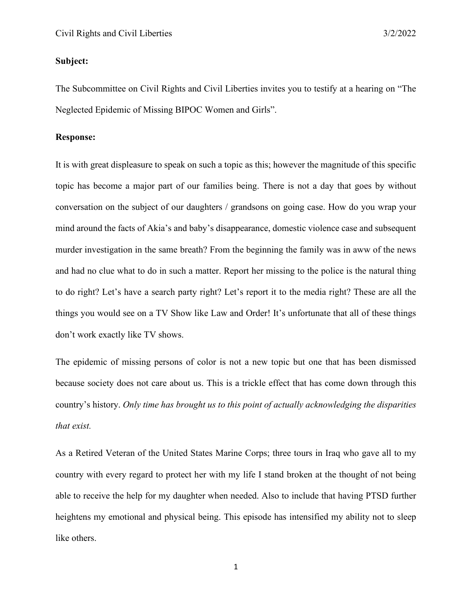## **Subject:**

The Subcommittee on Civil Rights and Civil Liberties invites you to testify at a hearing on "The Neglected Epidemic of Missing BIPOC Women and Girls".

## **Response:**

It is with great displeasure to speak on such a topic as this; however the magnitude of this specific topic has become a major part of our families being. There is not a day that goes by without conversation on the subject of our daughters / grandsons on going case. How do you wrap your mind around the facts of Akia's and baby's disappearance, domestic violence case and subsequent murder investigation in the same breath? From the beginning the family was in aww of the news and had no clue what to do in such a matter. Report her missing to the police is the natural thing to do right? Let's have a search party right? Let's report it to the media right? These are all the things you would see on a TV Show like Law and Order! It's unfortunate that all of these things don't work exactly like TV shows.

The epidemic of missing persons of color is not a new topic but one that has been dismissed because society does not care about us. This is a trickle effect that has come down through this country's history. *Only time has brought us to this point of actually acknowledging the disparities that exist.*

As a Retired Veteran of the United States Marine Corps; three tours in Iraq who gave all to my country with every regard to protect her with my life I stand broken at the thought of not being able to receive the help for my daughter when needed. Also to include that having PTSD further heightens my emotional and physical being. This episode has intensified my ability not to sleep like others.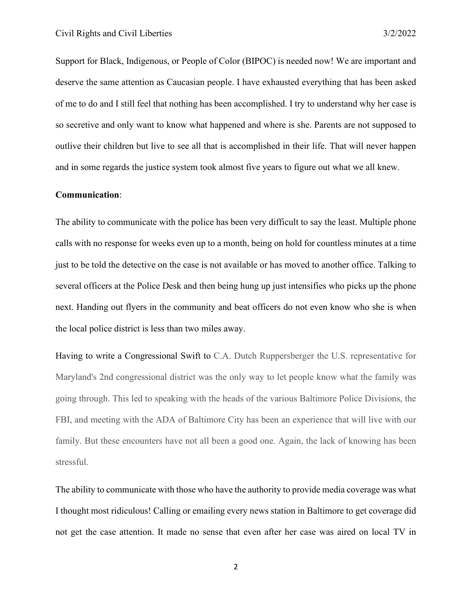Support for Black, Indigenous, or People of Color (BIPOC) is needed now! We are important and deserve the same attention as Caucasian people. I have exhausted everything that has been asked of me to do and I still feel that nothing has been accomplished. I try to understand why her case is so secretive and only want to know what happened and where is she. Parents are not supposed to outlive their children but live to see all that is accomplished in their life. That will never happen and in some regards the justice system took almost five years to figure out what we all knew.

## **Communication**:

The ability to communicate with the police has been very difficult to say the least. Multiple phone calls with no response for weeks even up to a month, being on hold for countless minutes at a time just to be told the detective on the case is not available or has moved to another office. Talking to several officers at the Police Desk and then being hung up just intensifies who picks up the phone next. Handing out flyers in the community and beat officers do not even know who she is when the local police district is less than two miles away.

Having to write a Congressional Swift to C.A. Dutch Ruppersberger the U.S. representative for Maryland's 2nd congressional district was the only way to let people know what the family was going through. This led to speaking with the heads of the various Baltimore Police Divisions, the FBI, and meeting with the ADA of Baltimore City has been an experience that will live with our family. But these encounters have not all been a good one. Again, the lack of knowing has been stressful.

The ability to communicate with those who have the authority to provide media coverage was what I thought most ridiculous! Calling or emailing every news station in Baltimore to get coverage did not get the case attention. It made no sense that even after her case was aired on local TV in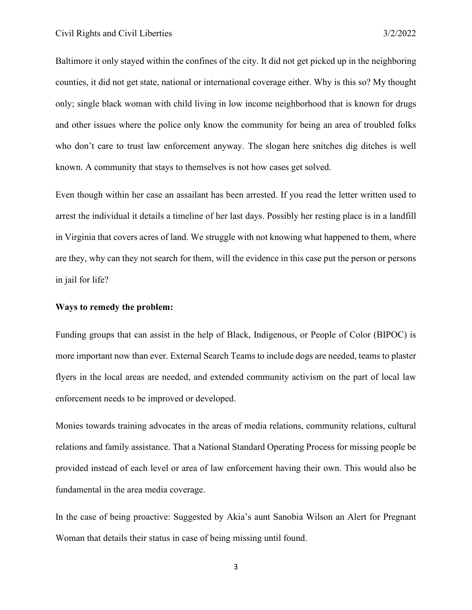Baltimore it only stayed within the confines of the city. It did not get picked up in the neighboring counties, it did not get state, national or international coverage either. Why is this so? My thought only; single black woman with child living in low income neighborhood that is known for drugs and other issues where the police only know the community for being an area of troubled folks who don't care to trust law enforcement anyway. The slogan here snitches dig ditches is well known. A community that stays to themselves is not how cases get solved.

Even though within her case an assailant has been arrested. If you read the letter written used to arrest the individual it details a timeline of her last days. Possibly her resting place is in a landfill in Virginia that covers acres of land. We struggle with not knowing what happened to them, where are they, why can they not search for them, will the evidence in this case put the person or persons in jail for life?

## **Ways to remedy the problem:**

Funding groups that can assist in the help of Black, Indigenous, or People of Color (BIPOC) is more important now than ever. External Search Teams to include dogs are needed, teams to plaster flyers in the local areas are needed, and extended community activism on the part of local law enforcement needs to be improved or developed.

Monies towards training advocates in the areas of media relations, community relations, cultural relations and family assistance. That a National Standard Operating Process for missing people be provided instead of each level or area of law enforcement having their own. This would also be fundamental in the area media coverage.

In the case of being proactive: Suggested by Akia's aunt Sanobia Wilson an Alert for Pregnant Woman that details their status in case of being missing until found.

3